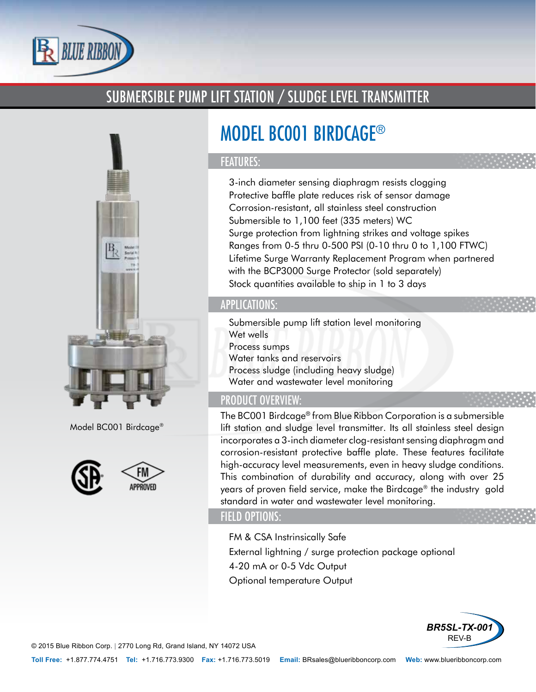

# SUBMERSIBLE PUMP LIFT STATION / SLUDGE LEVEL TRANSMITTER



Model BC001 Birdcage®



# MODEL BC001 BIRDCAGE®

## FEATURES:

- 3-inch diameter sensing diaphragm resists clogging
- Protective baffle plate reduces risk of sensor damage
- Corrosion-resistant, all stainless steel construction
- Submersible to 1,100 feet (335 meters) WC
- Surge protection from lightning strikes and voltage spikes
- Ranges from 0-5 thru 0-500 PSI (0-10 thru 0 to 1,100 FTWC)
- Lifetime Surge Warranty Replacement Program when partnered with the BCP3000 Surge Protector (sold separately)
- Stock quantities available to ship in 1 to 3 days

# APPLICATIONS:

- Submersible pump lift station level monitoring
- Wet wells
- Process sumps
- Water tanks and reservoirs
- Process sludge (including heavy sludge)
- Water and wastewater level monitoring

# PRODUCT OVERVIEW:

The BC001 Birdcage® from Blue Ribbon Corporation is a submersible lift station and sludge level transmitter. Its all stainless steel design incorporates a 3-inch diameter clog-resistant sensing diaphragm and corrosion-resistant protective baffle plate. These features facilitate high-accuracy level measurements, even in heavy sludge conditions. This combination of durability and accuracy, along with over 25 years of proven field service, make the Birdcage® the industry gold standard in water and wastewater level monitoring.

## FIELD OPTIONS:

- FM & CSA Instrinsically Safe
- External lightning / surge protection package optional
- 4-20 mA or 0-5 Vdc Output
- Optional temperature Output



© 2015 Blue Ribbon Corp. *|* 2770 Long Rd, Grand Island, NY 14072 USA